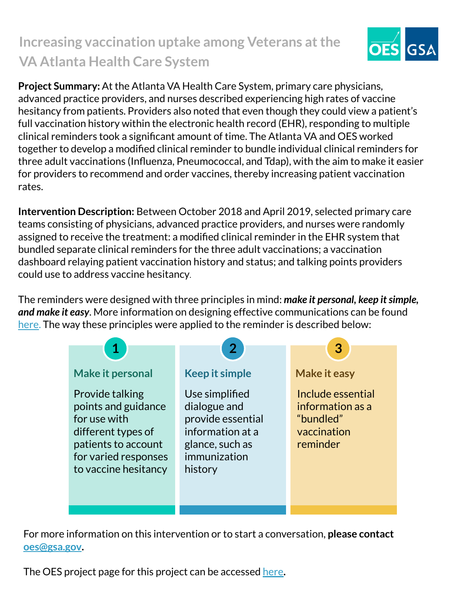## **Increasing vaccination uptake among Veterans at the VA Atlanta Health Care System**



**Project Summary:** At the Atlanta VA Health Care System, primary care physicians, advanced practice providers, and nurses described experiencing high rates of vaccine hesitancy from patients. Providers also noted that even though they could view a patient's full vaccination history within the electronic health record (EHR), responding to multiple clinical reminders took a significant amount of time. The Atlanta VA and OES worked together to develop a modified clinical reminder to bundle individual clinical reminders for three adult vaccinations (Influenza, Pneumococcal, and Tdap), with the aim to make it easier for providers to recommend and order vaccines, thereby increasing patient vaccination rates.

**Intervention Description:** Between October 2018 and April 2019, selected primary care teams consisting of physicians, advanced practice providers, and nurses were randomly assigned to receive the treatment: a modified clinical reminder in the EHR system that bundled separate clinical reminders for the three adult vaccinations; a vaccination dashboard relaying patient vaccination history and status; and talking points providers could use to address vaccine hesitancy.

The reminders were designed with three principles in mind: *make it personal, keep it simple, and make it easy*. More information on designing effective communications can be found [here.](https://oes.gsa.gov/assets/abstracts/OES%20Learnings%20on%20Writing%20Better%20Communications%202018.pdf) The way these principles were applied to the reminder is described below:



For more information on this intervention or to start a conversation, **please contact [oes@gsa.gov](mailto:oes@gsa.gov).**

The OES project page for this project can be accessed [here](https://oes.gsa.gov/projects/increasing-adult-vaccines-atlanta-va/)**.**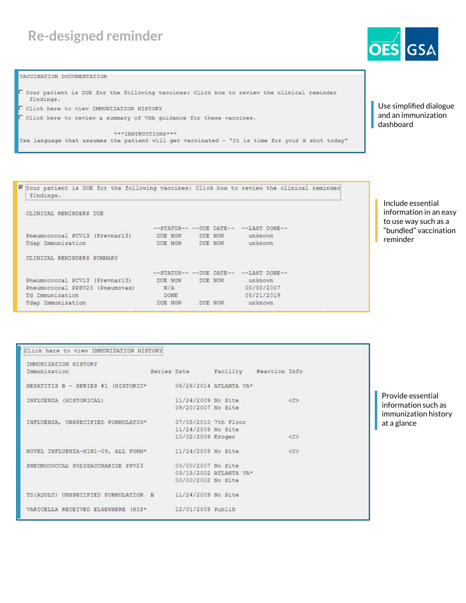## **Re-designed reminder**

VACCINATION DOCUMENTATION

```
I Your patient is DUE for the following vaccines: Click box to review the clinical reminder
  findings.
U Click here to view IMMUNIZATION HISTORY
\Box Click here to review a summary of VHA guidance for these vaccines.
                          ***INSTRUCTIONS***
Use language that assumes the patient will get vaccinated - "It is time for your X shot today"
```
Use simplified dialogue and an immunization dashboard

| W Your patient is DUE for the following vaccines: Click box to review the clinical reminder<br>findings. |             |  |         |                                         |  |  |  |  |  |  |
|----------------------------------------------------------------------------------------------------------|-------------|--|---------|-----------------------------------------|--|--|--|--|--|--|
| CLINICAL REMINDERS DUE                                                                                   |             |  |         |                                         |  |  |  |  |  |  |
|                                                                                                          |             |  |         | --STATUS-- -- DUE DATE-- -- LAST DONE-- |  |  |  |  |  |  |
| Pneumococcal PCV13 (Prevnar13)                                                                           | DUE NOW     |  | DUE NOW | unknown                                 |  |  |  |  |  |  |
| Tdap Immunization                                                                                        | DUE NOW     |  | DUE NOW | unknown                                 |  |  |  |  |  |  |
| CLINICAL REMINDERS SUMMARY                                                                               |             |  |         |                                         |  |  |  |  |  |  |
|                                                                                                          |             |  |         | --STATUS-- -- DUE DATE-- -- LAST DONE-- |  |  |  |  |  |  |
| Pneumococcal PCV13 (Prevnar13)                                                                           | DUE NOW     |  | DUE NOW | unknown                                 |  |  |  |  |  |  |
| Pneumococcal PPSV23 (Pneumovax)                                                                          | N/A         |  |         | 00/00/2007                              |  |  |  |  |  |  |
| Td Immunization                                                                                          | <b>DONE</b> |  |         | 05/21/2019                              |  |  |  |  |  |  |
| Tdap Immunization                                                                                        | DUE NOW     |  | DUE NOW | unknown                                 |  |  |  |  |  |  |

Include essential information in an easy to use way such as a "bundled" vaccination reminder

| IMMUNIZATION HISTORY                                      |                      |                                    |                   |
|-----------------------------------------------------------|----------------------|------------------------------------|-------------------|
| Immunization                                              |                      | Series Date Facility Reaction Info |                   |
| HEPATITIS B - SERIES #1 (HISTORIC* 06/26/2014 ATLANTA VA* |                      |                                    |                   |
| INFLUENZA (HISTORICAL)                                    | 11/24/2009 No Site   |                                    | < <c< td=""></c<> |
|                                                           | 09/20/2007 No Site   |                                    |                   |
| INFLUENZA, UNSPECIFIED FORMULATIO*                        | 07/05/2010 7th Floor |                                    |                   |
|                                                           | 11/24/2009 No Site   |                                    |                   |
|                                                           | 10/02/2009 Kroger    |                                    | <<                |
| NOVEL INFLUENZA-H1N1-09, ALL FORM* 11/24/2009 No Site     |                      |                                    | $<<$ $C$ $>$      |
| PNEUMOCOCCAL POLYSACCHARIDE PPV23 00/00/2007 No Site      |                      |                                    |                   |
|                                                           |                      | 03/15/2002 ATLANTA VA*             |                   |
|                                                           | 00/00/2002 No Site   |                                    |                   |
| TD(ADULT) UNSPECIFIED FORMULATION B 11/24/2009 No Site    |                      |                                    |                   |
| VARICELLA RECEIVED ELSEWHERE (HIS* 12/01/2009 PubliX      |                      |                                    |                   |

Provide essential information such as immunization history at a glance